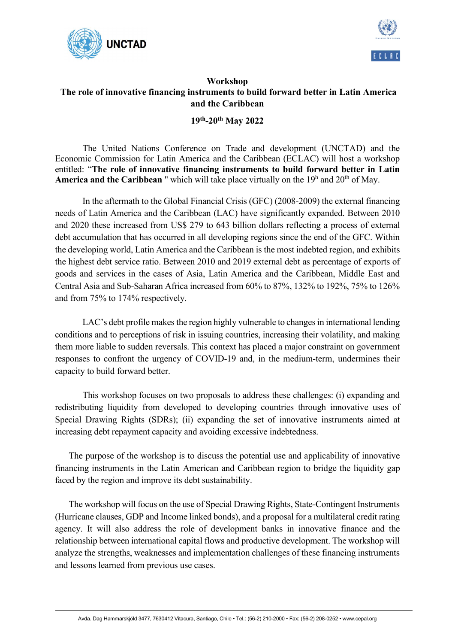



## Workshop The role of innovative financing instruments to build forward better in Latin America and the Caribbean

## 19th-20th May 2022

The United Nations Conference on Trade and development (UNCTAD) and the Economic Commission for Latin America and the Caribbean (ECLAC) will host a workshop entitled: "The role of innovative financing instruments to build forward better in Latin **America and the Caribbean** " which will take place virtually on the  $19<sup>h</sup>$  and  $20<sup>th</sup>$  of May.

In the aftermath to the Global Financial Crisis (GFC) (2008-2009) the external financing needs of Latin America and the Caribbean (LAC) have significantly expanded. Between 2010 and 2020 these increased from US\$ 279 to 643 billion dollars reflecting a process of external debt accumulation that has occurred in all developing regions since the end of the GFC. Within the developing world, Latin America and the Caribbean is the most indebted region, and exhibits the highest debt service ratio. Between 2010 and 2019 external debt as percentage of exports of goods and services in the cases of Asia, Latin America and the Caribbean, Middle East and Central Asia and Sub-Saharan Africa increased from 60% to 87%, 132% to 192%, 75% to 126% and from 75% to 174% respectively.

LAC's debt profile makes the region highly vulnerable to changes in international lending conditions and to perceptions of risk in issuing countries, increasing their volatility, and making them more liable to sudden reversals. This context has placed a major constraint on government responses to confront the urgency of COVID-19 and, in the medium-term, undermines their capacity to build forward better.

This workshop focuses on two proposals to address these challenges: (i) expanding and redistributing liquidity from developed to developing countries through innovative uses of Special Drawing Rights (SDRs); (ii) expanding the set of innovative instruments aimed at increasing debt repayment capacity and avoiding excessive indebtedness.

The purpose of the workshop is to discuss the potential use and applicability of innovative financing instruments in the Latin American and Caribbean region to bridge the liquidity gap faced by the region and improve its debt sustainability.

The workshop will focus on the use of Special Drawing Rights, State-Contingent Instruments (Hurricane clauses, GDP and Income linked bonds), and a proposal for a multilateral credit rating agency. It will also address the role of development banks in innovative finance and the relationship between international capital flows and productive development. The workshop will analyze the strengths, weaknesses and implementation challenges of these financing instruments and lessons learned from previous use cases.